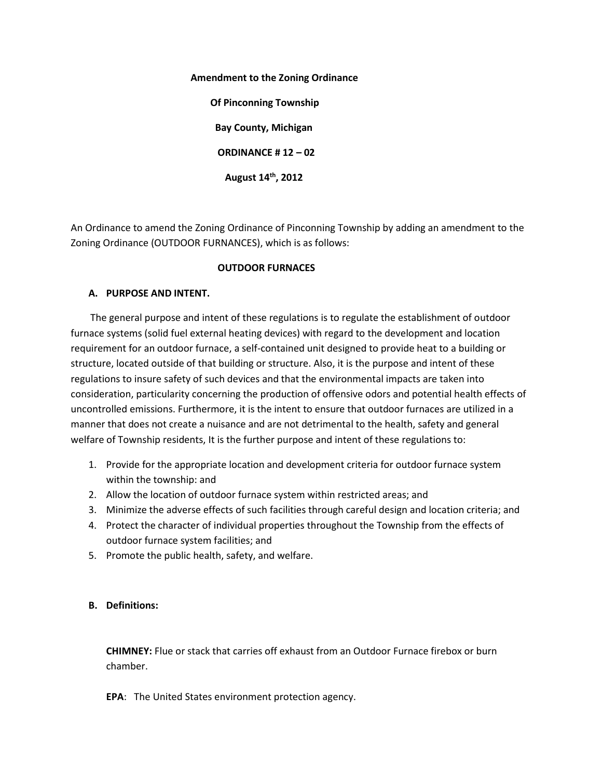#### **Amendment to the Zoning Ordinance**

 **Of Pinconning Township Bay County, Michigan ORDINANCE # 12 – 02 August 14th, 2012**

An Ordinance to amend the Zoning Ordinance of Pinconning Township by adding an amendment to the Zoning Ordinance (OUTDOOR FURNANCES), which is as follows:

### **OUTDOOR FURNACES**

### **A. PURPOSE AND INTENT.**

 The general purpose and intent of these regulations is to regulate the establishment of outdoor furnace systems (solid fuel external heating devices) with regard to the development and location requirement for an outdoor furnace, a self-contained unit designed to provide heat to a building or structure, located outside of that building or structure. Also, it is the purpose and intent of these regulations to insure safety of such devices and that the environmental impacts are taken into consideration, particularity concerning the production of offensive odors and potential health effects of uncontrolled emissions. Furthermore, it is the intent to ensure that outdoor furnaces are utilized in a manner that does not create a nuisance and are not detrimental to the health, safety and general welfare of Township residents, It is the further purpose and intent of these regulations to:

- 1. Provide for the appropriate location and development criteria for outdoor furnace system within the township: and
- 2. Allow the location of outdoor furnace system within restricted areas; and
- 3. Minimize the adverse effects of such facilities through careful design and location criteria; and
- 4. Protect the character of individual properties throughout the Township from the effects of outdoor furnace system facilities; and
- 5. Promote the public health, safety, and welfare.

# **B. Definitions:**

**CHIMNEY:** Flue or stack that carries off exhaust from an Outdoor Furnace firebox or burn chamber.

**EPA**: The United States environment protection agency.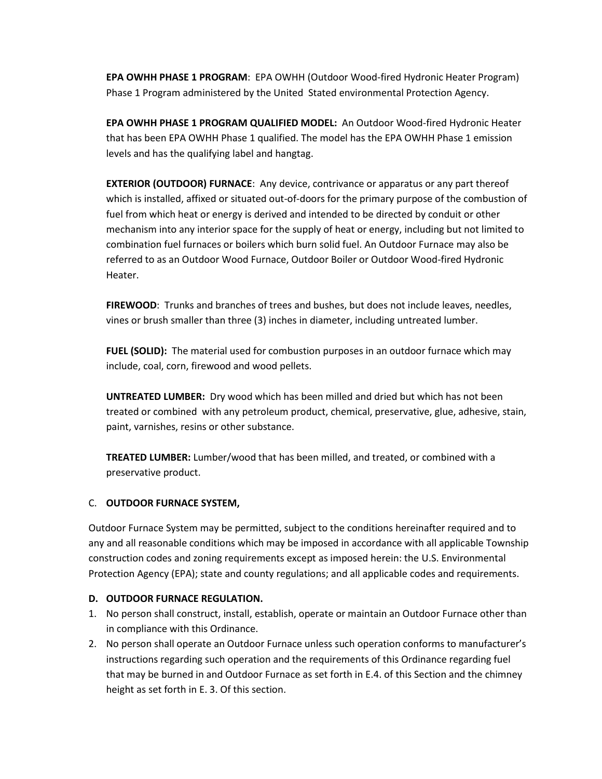**EPA OWHH PHASE 1 PROGRAM**: EPA OWHH (Outdoor Wood-fired Hydronic Heater Program) Phase 1 Program administered by the United Stated environmental Protection Agency.

**EPA OWHH PHASE 1 PROGRAM QUALIFIED MODEL:** An Outdoor Wood-fired Hydronic Heater that has been EPA OWHH Phase 1 qualified. The model has the EPA OWHH Phase 1 emission levels and has the qualifying label and hangtag.

**EXTERIOR (OUTDOOR) FURNACE**: Any device, contrivance or apparatus or any part thereof which is installed, affixed or situated out-of-doors for the primary purpose of the combustion of fuel from which heat or energy is derived and intended to be directed by conduit or other mechanism into any interior space for the supply of heat or energy, including but not limited to combination fuel furnaces or boilers which burn solid fuel. An Outdoor Furnace may also be referred to as an Outdoor Wood Furnace, Outdoor Boiler or Outdoor Wood-fired Hydronic Heater.

**FIREWOOD**: Trunks and branches of trees and bushes, but does not include leaves, needles, vines or brush smaller than three (3) inches in diameter, including untreated lumber.

**FUEL (SOLID):** The material used for combustion purposes in an outdoor furnace which may include, coal, corn, firewood and wood pellets.

**UNTREATED LUMBER:** Dry wood which has been milled and dried but which has not been treated or combined with any petroleum product, chemical, preservative, glue, adhesive, stain, paint, varnishes, resins or other substance.

**TREATED LUMBER:** Lumber/wood that has been milled, and treated, or combined with a preservative product.

# C. **OUTDOOR FURNACE SYSTEM,**

Outdoor Furnace System may be permitted, subject to the conditions hereinafter required and to any and all reasonable conditions which may be imposed in accordance with all applicable Township construction codes and zoning requirements except as imposed herein: the U.S. Environmental Protection Agency (EPA); state and county regulations; and all applicable codes and requirements.

### **D. OUTDOOR FURNACE REGULATION.**

- 1. No person shall construct, install, establish, operate or maintain an Outdoor Furnace other than in compliance with this Ordinance.
- 2. No person shall operate an Outdoor Furnace unless such operation conforms to manufacturer's instructions regarding such operation and the requirements of this Ordinance regarding fuel that may be burned in and Outdoor Furnace as set forth in E.4. of this Section and the chimney height as set forth in E. 3. Of this section.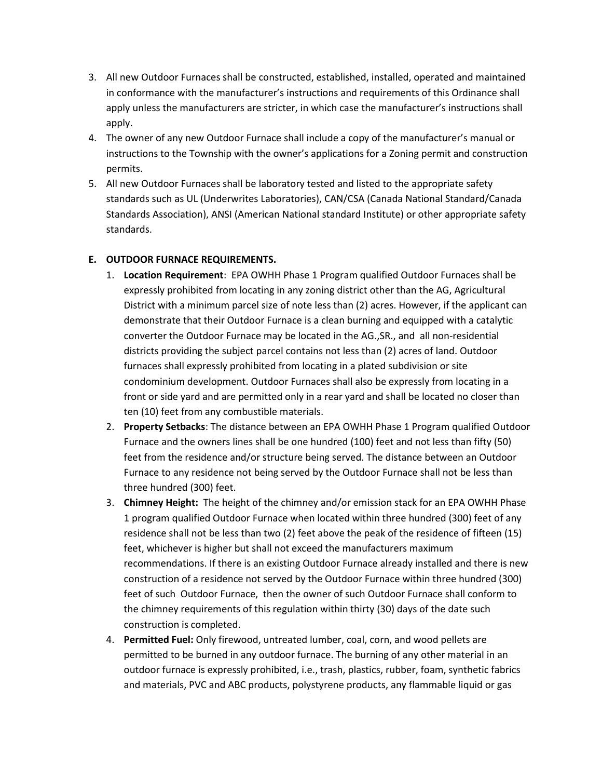- 3. All new Outdoor Furnaces shall be constructed, established, installed, operated and maintained in conformance with the manufacturer's instructions and requirements of this Ordinance shall apply unless the manufacturers are stricter, in which case the manufacturer's instructions shall apply.
- 4. The owner of any new Outdoor Furnace shall include a copy of the manufacturer's manual or instructions to the Township with the owner's applications for a Zoning permit and construction permits.
- 5. All new Outdoor Furnaces shall be laboratory tested and listed to the appropriate safety standards such as UL (Underwrites Laboratories), CAN/CSA (Canada National Standard/Canada Standards Association), ANSI (American National standard Institute) or other appropriate safety standards.

# **E. OUTDOOR FURNACE REQUIREMENTS.**

- 1. **Location Requirement**: EPA OWHH Phase 1 Program qualified Outdoor Furnaces shall be expressly prohibited from locating in any zoning district other than the AG, Agricultural District with a minimum parcel size of note less than (2) acres. However, if the applicant can demonstrate that their Outdoor Furnace is a clean burning and equipped with a catalytic converter the Outdoor Furnace may be located in the AG.,SR., and all non-residential districts providing the subject parcel contains not less than (2) acres of land. Outdoor furnaces shall expressly prohibited from locating in a plated subdivision or site condominium development. Outdoor Furnaces shall also be expressly from locating in a front or side yard and are permitted only in a rear yard and shall be located no closer than ten (10) feet from any combustible materials.
- 2. **Property Setbacks**: The distance between an EPA OWHH Phase 1 Program qualified Outdoor Furnace and the owners lines shall be one hundred (100) feet and not less than fifty (50) feet from the residence and/or structure being served. The distance between an Outdoor Furnace to any residence not being served by the Outdoor Furnace shall not be less than three hundred (300) feet.
- 3. **Chimney Height:** The height of the chimney and/or emission stack for an EPA OWHH Phase 1 program qualified Outdoor Furnace when located within three hundred (300) feet of any residence shall not be less than two (2) feet above the peak of the residence of fifteen (15) feet, whichever is higher but shall not exceed the manufacturers maximum recommendations. If there is an existing Outdoor Furnace already installed and there is new construction of a residence not served by the Outdoor Furnace within three hundred (300) feet of such Outdoor Furnace, then the owner of such Outdoor Furnace shall conform to the chimney requirements of this regulation within thirty (30) days of the date such construction is completed.
- 4. **Permitted Fuel:** Only firewood, untreated lumber, coal, corn, and wood pellets are permitted to be burned in any outdoor furnace. The burning of any other material in an outdoor furnace is expressly prohibited, i.e., trash, plastics, rubber, foam, synthetic fabrics and materials, PVC and ABC products, polystyrene products, any flammable liquid or gas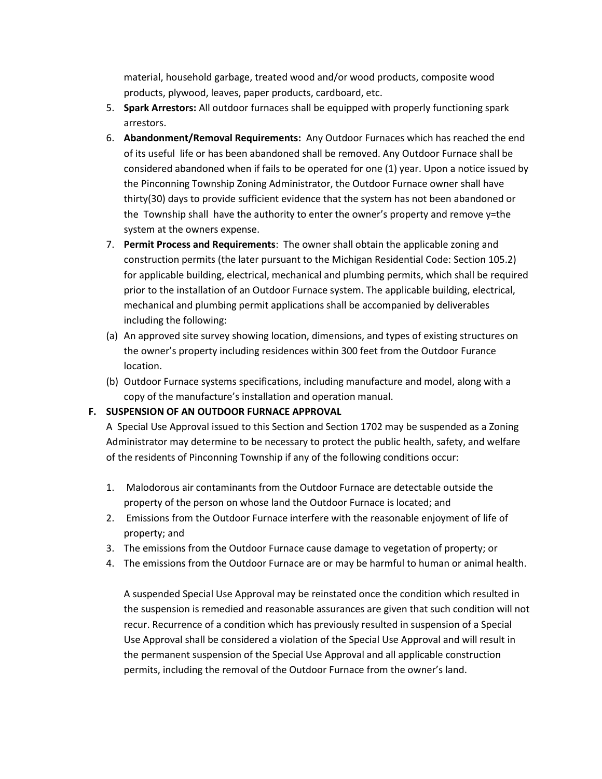material, household garbage, treated wood and/or wood products, composite wood products, plywood, leaves, paper products, cardboard, etc.

- 5. **Spark Arrestors:** All outdoor furnaces shall be equipped with properly functioning spark arrestors.
- 6. **Abandonment/Removal Requirements:** Any Outdoor Furnaces which has reached the end of its useful life or has been abandoned shall be removed. Any Outdoor Furnace shall be considered abandoned when if fails to be operated for one (1) year. Upon a notice issued by the Pinconning Township Zoning Administrator, the Outdoor Furnace owner shall have thirty(30) days to provide sufficient evidence that the system has not been abandoned or the Township shall have the authority to enter the owner's property and remove y=the system at the owners expense.
- 7. **Permit Process and Requirements**: The owner shall obtain the applicable zoning and construction permits (the later pursuant to the Michigan Residential Code: Section 105.2) for applicable building, electrical, mechanical and plumbing permits, which shall be required prior to the installation of an Outdoor Furnace system. The applicable building, electrical, mechanical and plumbing permit applications shall be accompanied by deliverables including the following:
- (a) An approved site survey showing location, dimensions, and types of existing structures on the owner's property including residences within 300 feet from the Outdoor Furance location.
- (b) Outdoor Furnace systems specifications, including manufacture and model, along with a copy of the manufacture's installation and operation manual.

### **F. SUSPENSION OF AN OUTDOOR FURNACE APPROVAL**

A Special Use Approval issued to this Section and Section 1702 may be suspended as a Zoning Administrator may determine to be necessary to protect the public health, safety, and welfare of the residents of Pinconning Township if any of the following conditions occur:

- 1. Malodorous air contaminants from the Outdoor Furnace are detectable outside the property of the person on whose land the Outdoor Furnace is located; and
- 2. Emissions from the Outdoor Furnace interfere with the reasonable enjoyment of life of property; and
- 3. The emissions from the Outdoor Furnace cause damage to vegetation of property; or
- 4. The emissions from the Outdoor Furnace are or may be harmful to human or animal health.

A suspended Special Use Approval may be reinstated once the condition which resulted in the suspension is remedied and reasonable assurances are given that such condition will not recur. Recurrence of a condition which has previously resulted in suspension of a Special Use Approval shall be considered a violation of the Special Use Approval and will result in the permanent suspension of the Special Use Approval and all applicable construction permits, including the removal of the Outdoor Furnace from the owner's land.